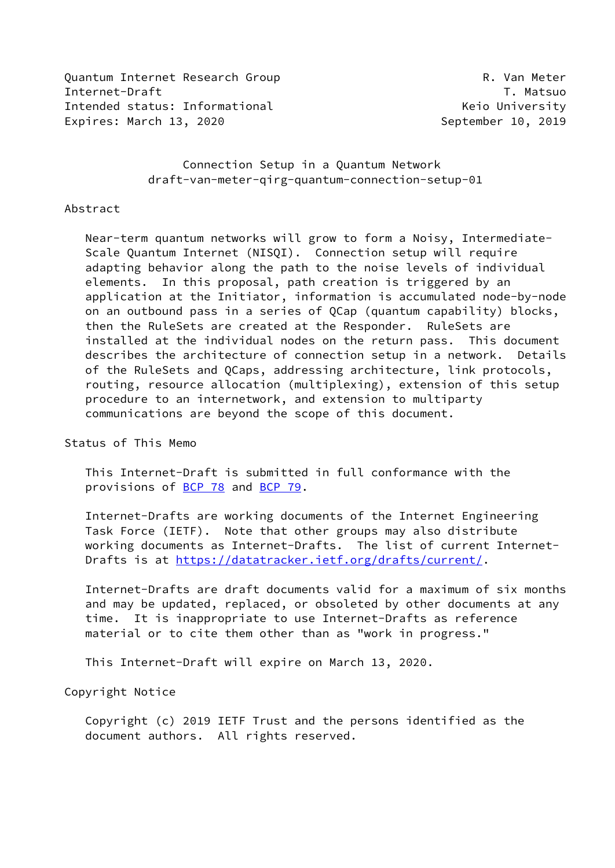Quantum Internet Research Group Communication of R. Van Meter Internet-Draft T. Matsuo Intended status: Informational The Communisties of the Meridian Meridian Meridian Meridian Meridian Meridian Expires: March 13, 2020 September 10, 2019

 Connection Setup in a Quantum Network draft-van-meter-qirg-quantum-connection-setup-01

#### Abstract

 Near-term quantum networks will grow to form a Noisy, Intermediate- Scale Quantum Internet (NISQI). Connection setup will require adapting behavior along the path to the noise levels of individual elements. In this proposal, path creation is triggered by an application at the Initiator, information is accumulated node-by-node on an outbound pass in a series of QCap (quantum capability) blocks, then the RuleSets are created at the Responder. RuleSets are installed at the individual nodes on the return pass. This document describes the architecture of connection setup in a network. Details of the RuleSets and QCaps, addressing architecture, link protocols, routing, resource allocation (multiplexing), extension of this setup procedure to an internetwork, and extension to multiparty communications are beyond the scope of this document.

Status of This Memo

 This Internet-Draft is submitted in full conformance with the provisions of [BCP 78](https://datatracker.ietf.org/doc/pdf/bcp78) and [BCP 79](https://datatracker.ietf.org/doc/pdf/bcp79).

 Internet-Drafts are working documents of the Internet Engineering Task Force (IETF). Note that other groups may also distribute working documents as Internet-Drafts. The list of current Internet Drafts is at<https://datatracker.ietf.org/drafts/current/>.

 Internet-Drafts are draft documents valid for a maximum of six months and may be updated, replaced, or obsoleted by other documents at any time. It is inappropriate to use Internet-Drafts as reference material or to cite them other than as "work in progress."

This Internet-Draft will expire on March 13, 2020.

Copyright Notice

 Copyright (c) 2019 IETF Trust and the persons identified as the document authors. All rights reserved.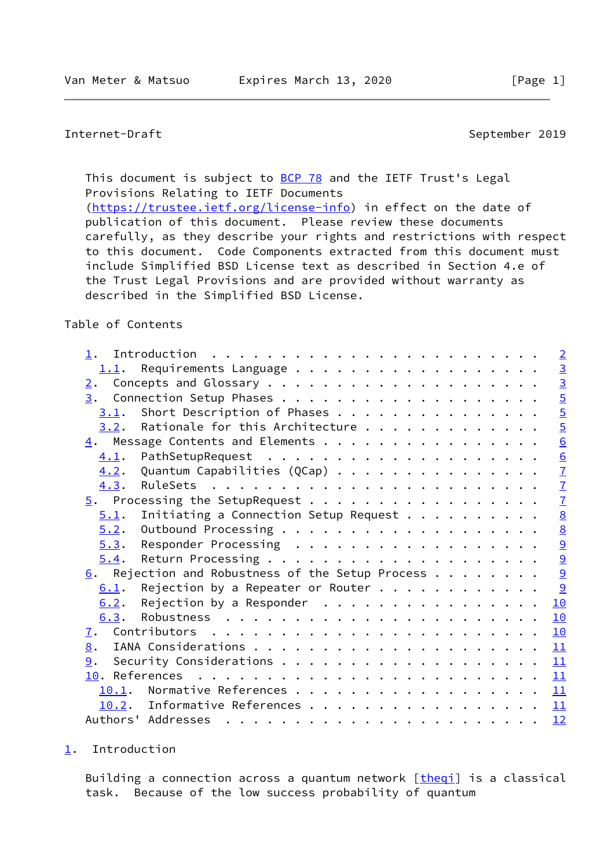<span id="page-1-1"></span>Internet-Draft September 2019

This document is subject to **[BCP 78](https://datatracker.ietf.org/doc/pdf/bcp78)** and the IETF Trust's Legal Provisions Relating to IETF Documents [\(https://trustee.ietf.org/license-info](https://trustee.ietf.org/license-info)) in effect on the date of publication of this document. Please review these documents carefully, as they describe your rights and restrictions with respect to this document. Code Components extracted from this document must include Simplified BSD License text as described in Section 4.e of the Trust Legal Provisions and are provided without warranty as described in the Simplified BSD License.

#### Table of Contents

| 1.                                                                                                                                                                                                                                                                                                                                                                                                                                                                              | $\overline{2}$                            |
|---------------------------------------------------------------------------------------------------------------------------------------------------------------------------------------------------------------------------------------------------------------------------------------------------------------------------------------------------------------------------------------------------------------------------------------------------------------------------------|-------------------------------------------|
| 1.1.                                                                                                                                                                                                                                                                                                                                                                                                                                                                            |                                           |
| 2.                                                                                                                                                                                                                                                                                                                                                                                                                                                                              | $\frac{10}{5}$                            |
| 3.                                                                                                                                                                                                                                                                                                                                                                                                                                                                              |                                           |
| $3.1$ . Short Description of Phases                                                                                                                                                                                                                                                                                                                                                                                                                                             | $\overline{5}$                            |
| $3.2$ . Rationale for this Architecture                                                                                                                                                                                                                                                                                                                                                                                                                                         | $\overline{5}$                            |
| $\underline{4}$ . Message Contents and Elements                                                                                                                                                                                                                                                                                                                                                                                                                                 | $\overline{6}$                            |
| 4.1.                                                                                                                                                                                                                                                                                                                                                                                                                                                                            | $\underline{6}$                           |
| Quantum Capabilities (QCap)<br>4.2.                                                                                                                                                                                                                                                                                                                                                                                                                                             | $\overline{1}$                            |
| 4.3.                                                                                                                                                                                                                                                                                                                                                                                                                                                                            | $\overline{1}$                            |
|                                                                                                                                                                                                                                                                                                                                                                                                                                                                                 | $\frac{7}{9}$ $\frac{8}{9}$ $\frac{1}{9}$ |
| Initiating a Connection Setup Request $\cdots$<br>5.1.                                                                                                                                                                                                                                                                                                                                                                                                                          |                                           |
| 5.2.                                                                                                                                                                                                                                                                                                                                                                                                                                                                            |                                           |
| Responder Processing<br>5.3.                                                                                                                                                                                                                                                                                                                                                                                                                                                    |                                           |
| 5.4.                                                                                                                                                                                                                                                                                                                                                                                                                                                                            |                                           |
| $6.$ Rejection and Robustness of the Setup Process                                                                                                                                                                                                                                                                                                                                                                                                                              | $\overline{9}$                            |
| Rejection by a Repeater or Router $\dots$<br>6.1.                                                                                                                                                                                                                                                                                                                                                                                                                               | 9                                         |
| Rejection by a Responder $\cdot \cdot \cdot \cdot \cdot \cdot \cdot \cdot \cdot \cdot \cdot \cdot \cdot \cdot \cdot$<br>6.2.                                                                                                                                                                                                                                                                                                                                                    | 10                                        |
| 6.3.                                                                                                                                                                                                                                                                                                                                                                                                                                                                            | 10                                        |
| 7.                                                                                                                                                                                                                                                                                                                                                                                                                                                                              | 10                                        |
| 8.                                                                                                                                                                                                                                                                                                                                                                                                                                                                              | 11                                        |
| 9.                                                                                                                                                                                                                                                                                                                                                                                                                                                                              | 11                                        |
|                                                                                                                                                                                                                                                                                                                                                                                                                                                                                 | 11                                        |
| 10.1. Normative References                                                                                                                                                                                                                                                                                                                                                                                                                                                      | 11                                        |
| 10.2. Informative References                                                                                                                                                                                                                                                                                                                                                                                                                                                    | 11                                        |
| Authors' Addresses<br>$\mathbf{r}^{\prime}=\mathbf{r}^{\prime}=\mathbf{r}^{\prime}=\mathbf{r}^{\prime}=\mathbf{r}^{\prime}=\mathbf{r}^{\prime}=\mathbf{r}^{\prime}=\mathbf{r}^{\prime}=\mathbf{r}^{\prime}=\mathbf{r}^{\prime}=\mathbf{r}^{\prime}=\mathbf{r}^{\prime}=\mathbf{r}^{\prime}=\mathbf{r}^{\prime}=\mathbf{r}^{\prime}=\mathbf{r}^{\prime}=\mathbf{r}^{\prime}=\mathbf{r}^{\prime}=\mathbf{r}^{\prime}=\mathbf{r}^{\prime}=\mathbf{r}^{\prime}=\mathbf{r}^{\prime}$ | 12                                        |

#### <span id="page-1-0"></span>[1](#page-1-0). Introduction

Building a connection across a quantum network [\[theqi](#page-12-2)] is a classical task. Because of the low success probability of quantum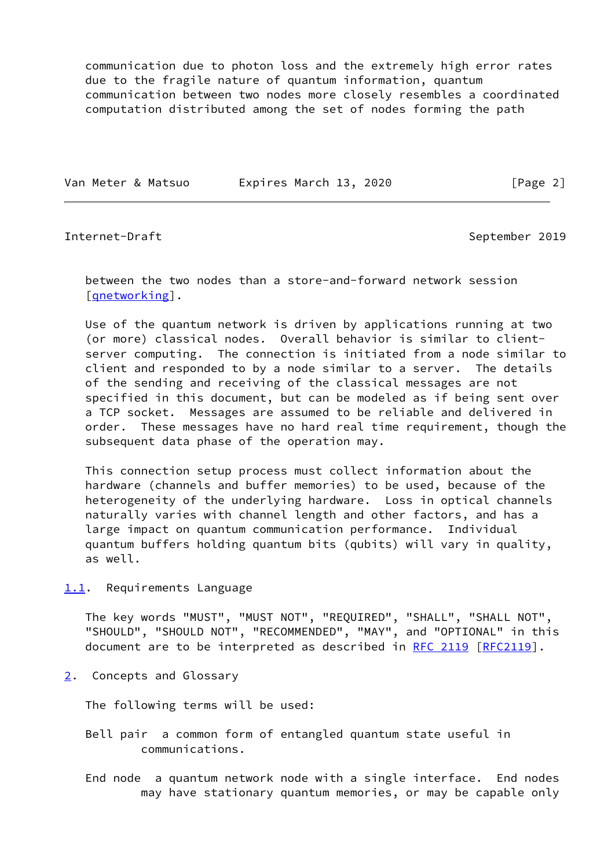communication due to photon loss and the extremely high error rates due to the fragile nature of quantum information, quantum communication between two nodes more closely resembles a coordinated computation distributed among the set of nodes forming the path

Van Meter & Matsuo Expires March 13, 2020 [Page 2]

<span id="page-2-1"></span>Internet-Draft September 2019

 between the two nodes than a store-and-forward network session [gnetworking].

 Use of the quantum network is driven by applications running at two (or more) classical nodes. Overall behavior is similar to client server computing. The connection is initiated from a node similar to client and responded to by a node similar to a server. The details of the sending and receiving of the classical messages are not specified in this document, but can be modeled as if being sent over a TCP socket. Messages are assumed to be reliable and delivered in order. These messages have no hard real time requirement, though the subsequent data phase of the operation may.

 This connection setup process must collect information about the hardware (channels and buffer memories) to be used, because of the heterogeneity of the underlying hardware. Loss in optical channels naturally varies with channel length and other factors, and has a large impact on quantum communication performance. Individual quantum buffers holding quantum bits (qubits) will vary in quality, as well.

<span id="page-2-0"></span>[1.1](#page-2-0). Requirements Language

 The key words "MUST", "MUST NOT", "REQUIRED", "SHALL", "SHALL NOT", "SHOULD", "SHOULD NOT", "RECOMMENDED", "MAY", and "OPTIONAL" in this document are to be interpreted as described in [RFC 2119 \[RFC2119](https://datatracker.ietf.org/doc/pdf/rfc2119)].

<span id="page-2-2"></span>[2](#page-2-2). Concepts and Glossary

The following terms will be used:

 Bell pair a common form of entangled quantum state useful in communications.

 End node a quantum network node with a single interface. End nodes may have stationary quantum memories, or may be capable only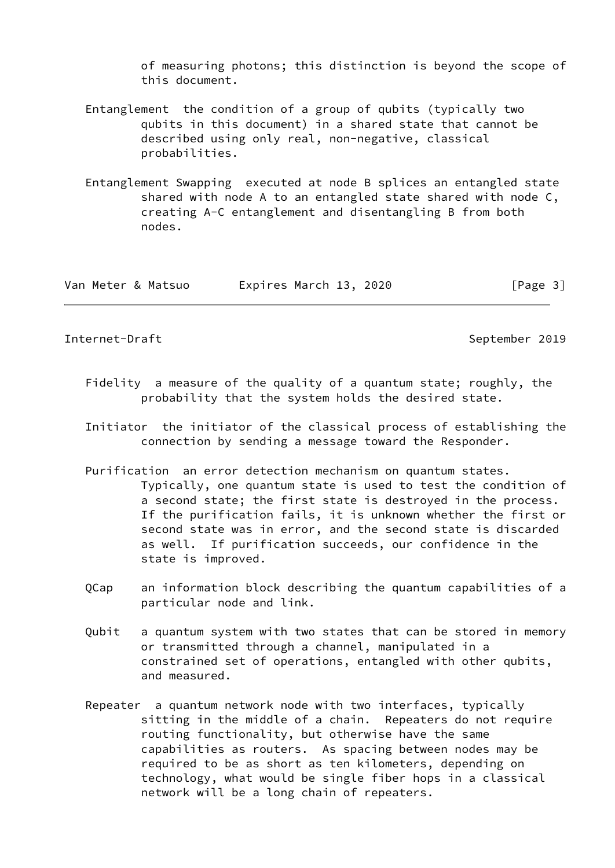of measuring photons; this distinction is beyond the scope of this document.

- Entanglement the condition of a group of qubits (typically two qubits in this document) in a shared state that cannot be described using only real, non-negative, classical probabilities.
- Entanglement Swapping executed at node B splices an entangled state shared with node A to an entangled state shared with node C, creating A-C entanglement and disentangling B from both nodes.

| Van Meter & Matsuo | Expires March 13, 2020 | [Page 3] |
|--------------------|------------------------|----------|
|--------------------|------------------------|----------|

## Internet-Draft September 2019

- Fidelity a measure of the quality of a quantum state; roughly, the probability that the system holds the desired state.
- Initiator the initiator of the classical process of establishing the connection by sending a message toward the Responder.
- Purification an error detection mechanism on quantum states. Typically, one quantum state is used to test the condition of a second state; the first state is destroyed in the process. If the purification fails, it is unknown whether the first or second state was in error, and the second state is discarded as well. If purification succeeds, our confidence in the state is improved.
- QCap an information block describing the quantum capabilities of a particular node and link.
- Qubit a quantum system with two states that can be stored in memory or transmitted through a channel, manipulated in a constrained set of operations, entangled with other qubits, and measured.
- Repeater a quantum network node with two interfaces, typically sitting in the middle of a chain. Repeaters do not require routing functionality, but otherwise have the same capabilities as routers. As spacing between nodes may be required to be as short as ten kilometers, depending on technology, what would be single fiber hops in a classical network will be a long chain of repeaters.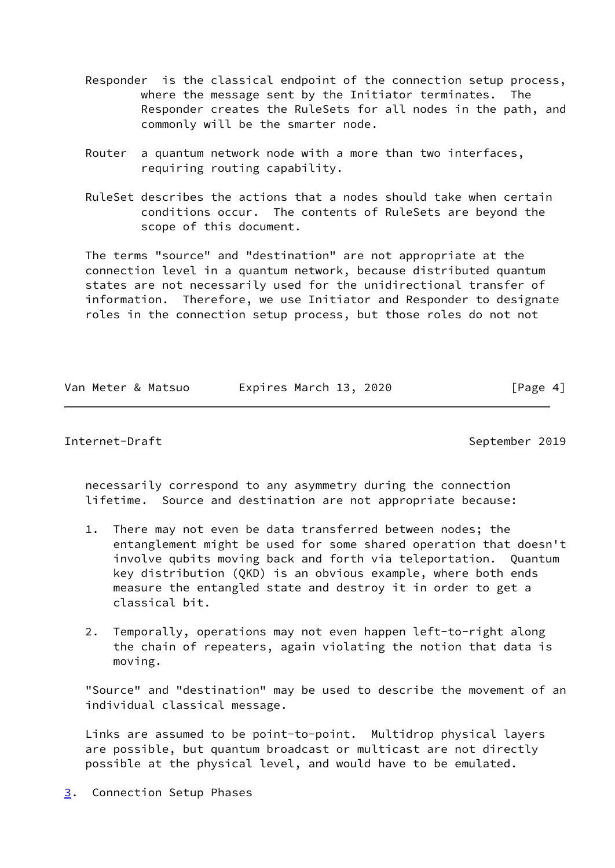- Responder is the classical endpoint of the connection setup process, where the message sent by the Initiator terminates. The Responder creates the RuleSets for all nodes in the path, and commonly will be the smarter node.
- Router a quantum network node with a more than two interfaces, requiring routing capability.
- RuleSet describes the actions that a nodes should take when certain conditions occur. The contents of RuleSets are beyond the scope of this document.

 The terms "source" and "destination" are not appropriate at the connection level in a quantum network, because distributed quantum states are not necessarily used for the unidirectional transfer of information. Therefore, we use Initiator and Responder to designate roles in the connection setup process, but those roles do not not

|  | Van Meter & Matsuo | Expires March 13, 2020 |  | [Page 4] |
|--|--------------------|------------------------|--|----------|
|  |                    |                        |  |          |

## <span id="page-4-1"></span>Internet-Draft September 2019

 necessarily correspond to any asymmetry during the connection lifetime. Source and destination are not appropriate because:

- 1. There may not even be data transferred between nodes; the entanglement might be used for some shared operation that doesn't involve qubits moving back and forth via teleportation. Quantum key distribution (QKD) is an obvious example, where both ends measure the entangled state and destroy it in order to get a classical bit.
- 2. Temporally, operations may not even happen left-to-right along the chain of repeaters, again violating the notion that data is moving.

 "Source" and "destination" may be used to describe the movement of an individual classical message.

 Links are assumed to be point-to-point. Multidrop physical layers are possible, but quantum broadcast or multicast are not directly possible at the physical level, and would have to be emulated.

<span id="page-4-0"></span>[3](#page-4-0). Connection Setup Phases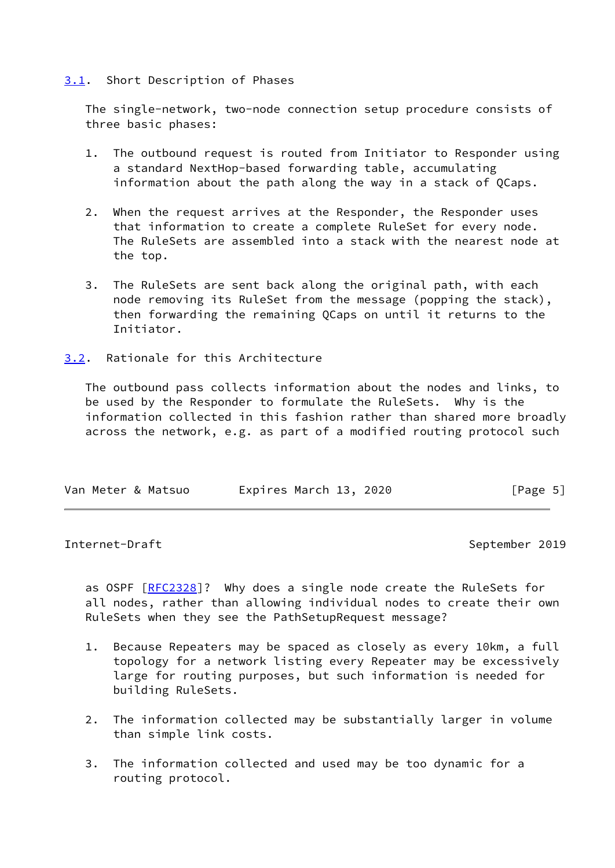## <span id="page-5-0"></span>[3.1](#page-5-0). Short Description of Phases

 The single-network, two-node connection setup procedure consists of three basic phases:

- 1. The outbound request is routed from Initiator to Responder using a standard NextHop-based forwarding table, accumulating information about the path along the way in a stack of QCaps.
- 2. When the request arrives at the Responder, the Responder uses that information to create a complete RuleSet for every node. The RuleSets are assembled into a stack with the nearest node at the top.
- 3. The RuleSets are sent back along the original path, with each node removing its RuleSet from the message (popping the stack), then forwarding the remaining QCaps on until it returns to the Initiator.
- <span id="page-5-1"></span>[3.2](#page-5-1). Rationale for this Architecture

 The outbound pass collects information about the nodes and links, to be used by the Responder to formulate the RuleSets. Why is the information collected in this fashion rather than shared more broadly across the network, e.g. as part of a modified routing protocol such

| Expires March 13, 2020<br>Van Meter & Matsuo | [Page 5] |
|----------------------------------------------|----------|
|----------------------------------------------|----------|

#### <span id="page-5-2"></span>Internet-Draft September 2019

as OSPF [\[RFC2328](https://datatracker.ietf.org/doc/pdf/rfc2328)]? Why does a single node create the RuleSets for all nodes, rather than allowing individual nodes to create their own RuleSets when they see the PathSetupRequest message?

- 1. Because Repeaters may be spaced as closely as every 10km, a full topology for a network listing every Repeater may be excessively large for routing purposes, but such information is needed for building RuleSets.
- 2. The information collected may be substantially larger in volume than simple link costs.
- 3. The information collected and used may be too dynamic for a routing protocol.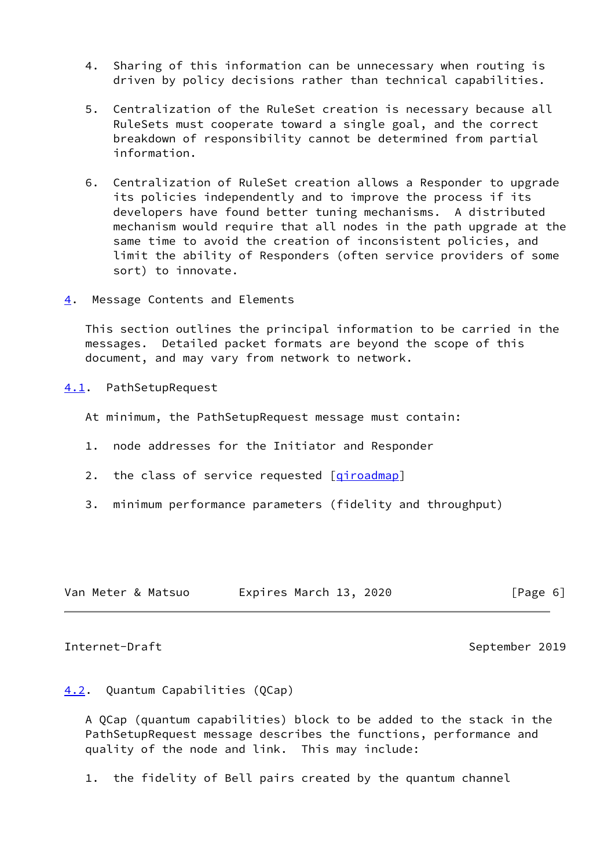- 4. Sharing of this information can be unnecessary when routing is driven by policy decisions rather than technical capabilities.
- 5. Centralization of the RuleSet creation is necessary because all RuleSets must cooperate toward a single goal, and the correct breakdown of responsibility cannot be determined from partial information.
- 6. Centralization of RuleSet creation allows a Responder to upgrade its policies independently and to improve the process if its developers have found better tuning mechanisms. A distributed mechanism would require that all nodes in the path upgrade at the same time to avoid the creation of inconsistent policies, and limit the ability of Responders (often service providers of some sort) to innovate.
- <span id="page-6-0"></span>[4](#page-6-0). Message Contents and Elements

 This section outlines the principal information to be carried in the messages. Detailed packet formats are beyond the scope of this document, and may vary from network to network.

<span id="page-6-1"></span>[4.1](#page-6-1). PathSetupRequest

At minimum, the PathSetupRequest message must contain:

- 1. node addresses for the Initiator and Responder
- 2. the class of service requested [[qiroadmap\]](#page-12-4)
- 3. minimum performance parameters (fidelity and throughput)

| Van Meter & Matsuo | Expires March 13, 2020 |
|--------------------|------------------------|
|--------------------|------------------------|

# $[Page 6]$

#### <span id="page-6-3"></span>Internet-Draft September 2019

## <span id="page-6-2"></span>[4.2](#page-6-2). Quantum Capabilities (QCap)

 A QCap (quantum capabilities) block to be added to the stack in the PathSetupRequest message describes the functions, performance and quality of the node and link. This may include:

1. the fidelity of Bell pairs created by the quantum channel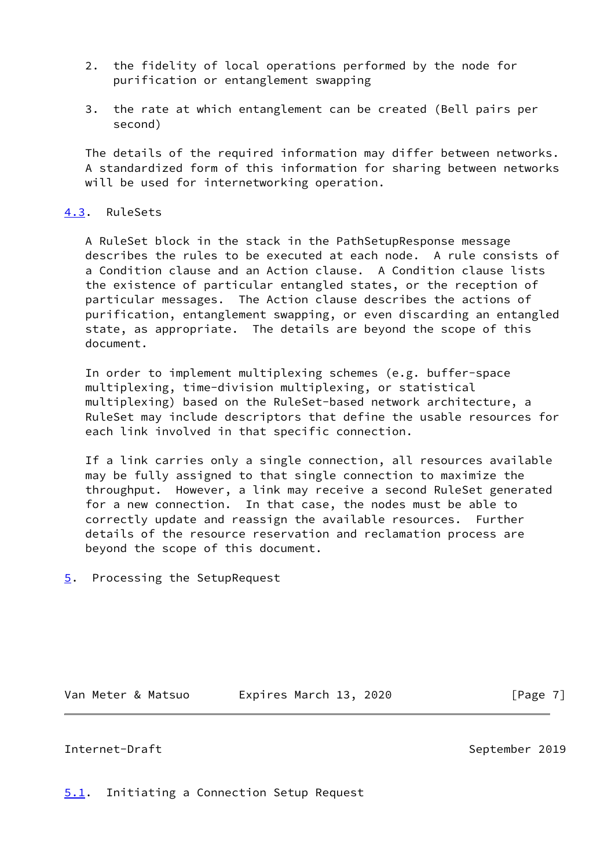- 2. the fidelity of local operations performed by the node for purification or entanglement swapping
- 3. the rate at which entanglement can be created (Bell pairs per second)

The details of the required information may differ between networks. A standardized form of this information for sharing between networks will be used for internetworking operation.

# <span id="page-7-0"></span>[4.3](#page-7-0). RuleSets

 A RuleSet block in the stack in the PathSetupResponse message describes the rules to be executed at each node. A rule consists of a Condition clause and an Action clause. A Condition clause lists the existence of particular entangled states, or the reception of particular messages. The Action clause describes the actions of purification, entanglement swapping, or even discarding an entangled state, as appropriate. The details are beyond the scope of this document.

 In order to implement multiplexing schemes (e.g. buffer-space multiplexing, time-division multiplexing, or statistical multiplexing) based on the RuleSet-based network architecture, a RuleSet may include descriptors that define the usable resources for each link involved in that specific connection.

 If a link carries only a single connection, all resources available may be fully assigned to that single connection to maximize the throughput. However, a link may receive a second RuleSet generated for a new connection. In that case, the nodes must be able to correctly update and reassign the available resources. Further details of the resource reservation and reclamation process are beyond the scope of this document.

<span id="page-7-1"></span>[5](#page-7-1). Processing the SetupRequest

Van Meter & Matsuo [Page 7]

## <span id="page-7-3"></span>Internet-Draft September 2019

<span id="page-7-2"></span>[5.1](#page-7-2). Initiating a Connection Setup Request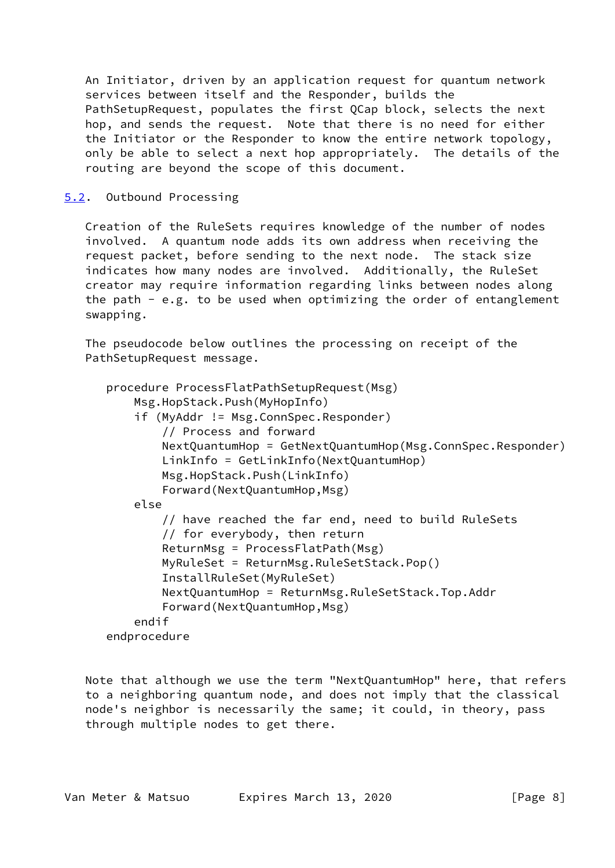An Initiator, driven by an application request for quantum network services between itself and the Responder, builds the PathSetupRequest, populates the first QCap block, selects the next hop, and sends the request. Note that there is no need for either the Initiator or the Responder to know the entire network topology, only be able to select a next hop appropriately. The details of the routing are beyond the scope of this document.

# <span id="page-8-0"></span>[5.2](#page-8-0). Outbound Processing

 Creation of the RuleSets requires knowledge of the number of nodes involved. A quantum node adds its own address when receiving the request packet, before sending to the next node. The stack size indicates how many nodes are involved. Additionally, the RuleSet creator may require information regarding links between nodes along the path  $-$  e.g. to be used when optimizing the order of entanglement swapping.

 The pseudocode below outlines the processing on receipt of the PathSetupRequest message.

```
 procedure ProcessFlatPathSetupRequest(Msg)
     Msg.HopStack.Push(MyHopInfo)
     if (MyAddr != Msg.ConnSpec.Responder)
         // Process and forward
         NextQuantumHop = GetNextQuantumHop(Msg.ConnSpec.Responder)
         LinkInfo = GetLinkInfo(NextQuantumHop)
         Msg.HopStack.Push(LinkInfo)
         Forward(NextQuantumHop,Msg)
     else
         // have reached the far end, need to build RuleSets
         // for everybody, then return
         ReturnMsg = ProcessFlatPath(Msg)
         MyRuleSet = ReturnMsg.RuleSetStack.Pop()
         InstallRuleSet(MyRuleSet)
         NextQuantumHop = ReturnMsg.RuleSetStack.Top.Addr
         Forward(NextQuantumHop,Msg)
     endif
 endprocedure
```
 Note that although we use the term "NextQuantumHop" here, that refers to a neighboring quantum node, and does not imply that the classical node's neighbor is necessarily the same; it could, in theory, pass through multiple nodes to get there.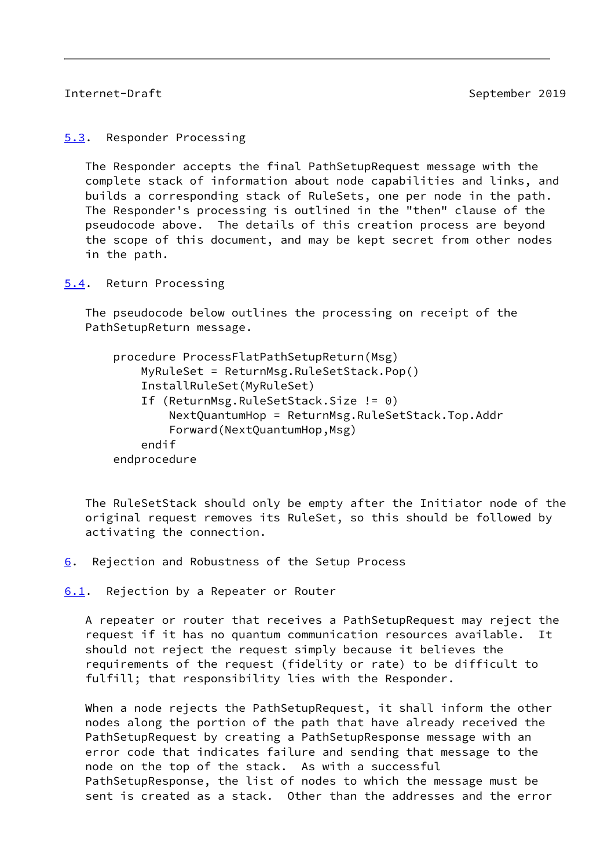## <span id="page-9-1"></span>Internet-Draft September 2019

<span id="page-9-0"></span>[5.3](#page-9-0). Responder Processing

 The Responder accepts the final PathSetupRequest message with the complete stack of information about node capabilities and links, and builds a corresponding stack of RuleSets, one per node in the path. The Responder's processing is outlined in the "then" clause of the pseudocode above. The details of this creation process are beyond the scope of this document, and may be kept secret from other nodes in the path.

<span id="page-9-2"></span>[5.4](#page-9-2). Return Processing

 The pseudocode below outlines the processing on receipt of the PathSetupReturn message.

| procedure ProcessFlatPathSetupReturn(Msg)        |  |
|--------------------------------------------------|--|
| MyRuleSet = ReturnMsg.RuleSetStack.Pop()         |  |
| InstallRuleSet(MyRuleSet)                        |  |
| If (ReturnMsg.RuleSetStack.Size != 0)            |  |
| NextQuantumHop = ReturnMsg.RuleSetStack.Top.Addr |  |
| Forward (NextQuantumHop, Msg)                    |  |
| endif                                            |  |
| endprocedure                                     |  |
|                                                  |  |

 The RuleSetStack should only be empty after the Initiator node of the original request removes its RuleSet, so this should be followed by activating the connection.

<span id="page-9-3"></span>[6](#page-9-3). Rejection and Robustness of the Setup Process

<span id="page-9-4"></span>[6.1](#page-9-4). Rejection by a Repeater or Router

 A repeater or router that receives a PathSetupRequest may reject the request if it has no quantum communication resources available. It should not reject the request simply because it believes the requirements of the request (fidelity or rate) to be difficult to fulfill; that responsibility lies with the Responder.

 When a node rejects the PathSetupRequest, it shall inform the other nodes along the portion of the path that have already received the PathSetupRequest by creating a PathSetupResponse message with an error code that indicates failure and sending that message to the node on the top of the stack. As with a successful PathSetupResponse, the list of nodes to which the message must be sent is created as a stack. Other than the addresses and the error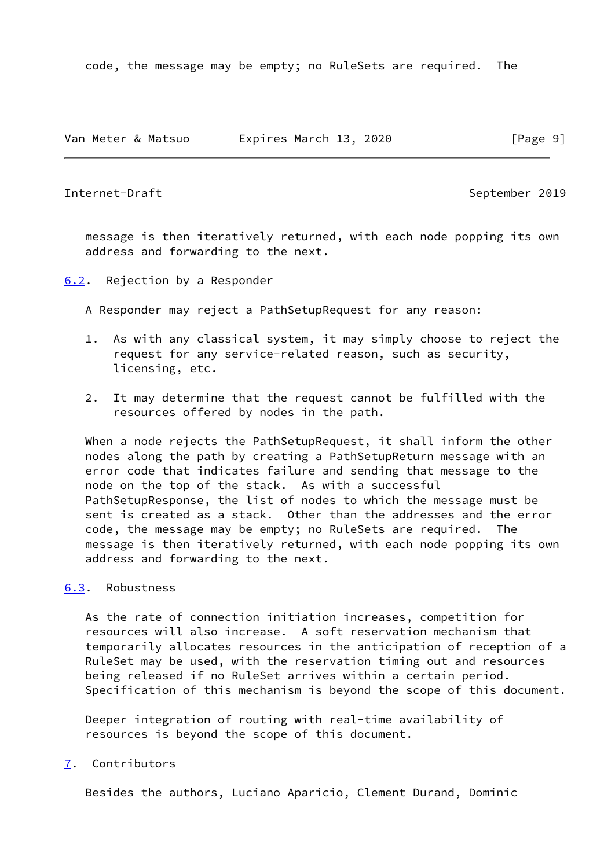code, the message may be empty; no RuleSets are required. The

|  |  |  | Van Meter & Matsuo | Expires March 13, 2020 |  |  |  | [Page 9] |  |  |
|--|--|--|--------------------|------------------------|--|--|--|----------|--|--|
|--|--|--|--------------------|------------------------|--|--|--|----------|--|--|

<span id="page-10-1"></span>Internet-Draft September 2019

 message is then iteratively returned, with each node popping its own address and forwarding to the next.

<span id="page-10-0"></span>[6.2](#page-10-0). Rejection by a Responder

A Responder may reject a PathSetupRequest for any reason:

- 1. As with any classical system, it may simply choose to reject the request for any service-related reason, such as security, licensing, etc.
- 2. It may determine that the request cannot be fulfilled with the resources offered by nodes in the path.

 When a node rejects the PathSetupRequest, it shall inform the other nodes along the path by creating a PathSetupReturn message with an error code that indicates failure and sending that message to the node on the top of the stack. As with a successful PathSetupResponse, the list of nodes to which the message must be sent is created as a stack. Other than the addresses and the error code, the message may be empty; no RuleSets are required. The message is then iteratively returned, with each node popping its own address and forwarding to the next.

## <span id="page-10-2"></span>[6.3](#page-10-2). Robustness

 As the rate of connection initiation increases, competition for resources will also increase. A soft reservation mechanism that temporarily allocates resources in the anticipation of reception of a RuleSet may be used, with the reservation timing out and resources being released if no RuleSet arrives within a certain period. Specification of this mechanism is beyond the scope of this document.

 Deeper integration of routing with real-time availability of resources is beyond the scope of this document.

# <span id="page-10-3"></span>[7](#page-10-3). Contributors

Besides the authors, Luciano Aparicio, Clement Durand, Dominic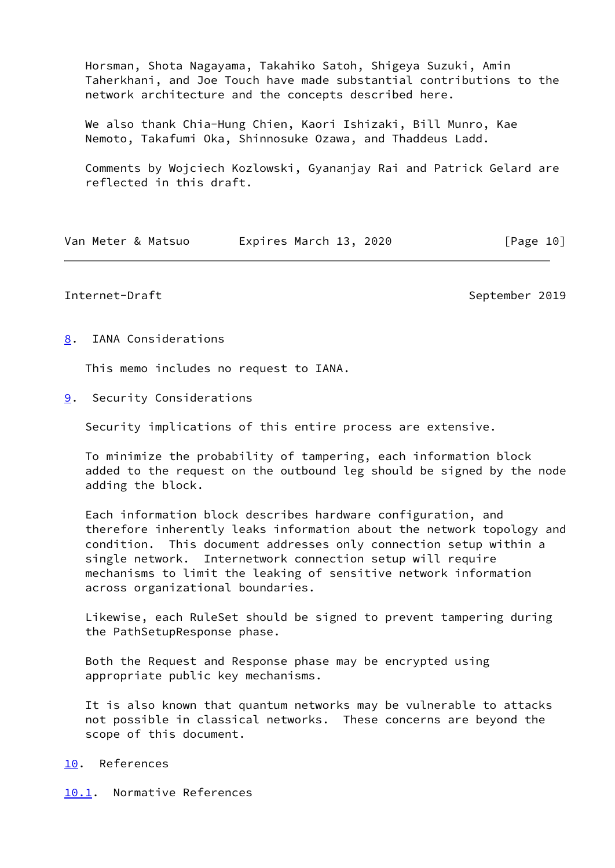Horsman, Shota Nagayama, Takahiko Satoh, Shigeya Suzuki, Amin Taherkhani, and Joe Touch have made substantial contributions to the network architecture and the concepts described here.

 We also thank Chia-Hung Chien, Kaori Ishizaki, Bill Munro, Kae Nemoto, Takafumi Oka, Shinnosuke Ozawa, and Thaddeus Ladd.

 Comments by Wojciech Kozlowski, Gyananjay Rai and Patrick Gelard are reflected in this draft.

| Van Meter & Matsuo | Expires March 13, 2020 | [Page 10] |
|--------------------|------------------------|-----------|
|--------------------|------------------------|-----------|

## <span id="page-11-1"></span>Internet-Draft September 2019

<span id="page-11-0"></span>[8](#page-11-0). IANA Considerations

This memo includes no request to IANA.

<span id="page-11-2"></span>[9](#page-11-2). Security Considerations

Security implications of this entire process are extensive.

 To minimize the probability of tampering, each information block added to the request on the outbound leg should be signed by the node adding the block.

 Each information block describes hardware configuration, and therefore inherently leaks information about the network topology and condition. This document addresses only connection setup within a single network. Internetwork connection setup will require mechanisms to limit the leaking of sensitive network information across organizational boundaries.

 Likewise, each RuleSet should be signed to prevent tampering during the PathSetupResponse phase.

 Both the Request and Response phase may be encrypted using appropriate public key mechanisms.

 It is also known that quantum networks may be vulnerable to attacks not possible in classical networks. These concerns are beyond the scope of this document.

## <span id="page-11-3"></span>[10.](#page-11-3) References

<span id="page-11-4"></span>[10.1](#page-11-4). Normative References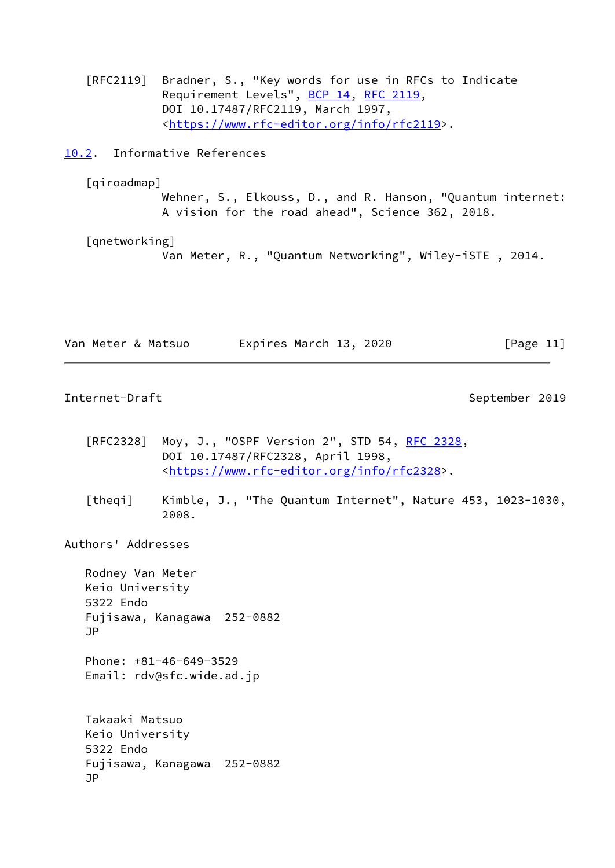[RFC2119] Bradner, S., "Key words for use in RFCs to Indicate Requirement Levels", [BCP 14](https://datatracker.ietf.org/doc/pdf/bcp14), [RFC 2119](https://datatracker.ietf.org/doc/pdf/rfc2119), DOI 10.17487/RFC2119, March 1997, <[https://www.rfc-editor.org/info/rfc2119>](https://www.rfc-editor.org/info/rfc2119).

<span id="page-12-0"></span>[10.2](#page-12-0). Informative References

<span id="page-12-4"></span>[qiroadmap]

 Wehner, S., Elkouss, D., and R. Hanson, "Quantum internet: A vision for the road ahead", Science 362, 2018.

<span id="page-12-3"></span>[qnetworking]

Van Meter, R., "Quantum Networking", Wiley-iSTE , 2014.

| Van Meter & Matsuo | Expires March 13, 2020 | [Page 11] |
|--------------------|------------------------|-----------|
|--------------------|------------------------|-----------|

<span id="page-12-1"></span>Internet-Draft September 2019

- [RFC2328] Moy, J., "OSPF Version 2", STD 54, [RFC 2328](https://datatracker.ietf.org/doc/pdf/rfc2328), DOI 10.17487/RFC2328, April 1998, <[https://www.rfc-editor.org/info/rfc2328>](https://www.rfc-editor.org/info/rfc2328).
- <span id="page-12-2"></span> [theqi] Kimble, J., "The Quantum Internet", Nature 453, 1023-1030, 2008.

Authors' Addresses

 Rodney Van Meter Keio University 5322 Endo Fujisawa, Kanagawa 252-0882 JP Phone: +81-46-649-3529

Email: rdv@sfc.wide.ad.jp

 Takaaki Matsuo Keio University 5322 Endo Fujisawa, Kanagawa 252-0882 JP